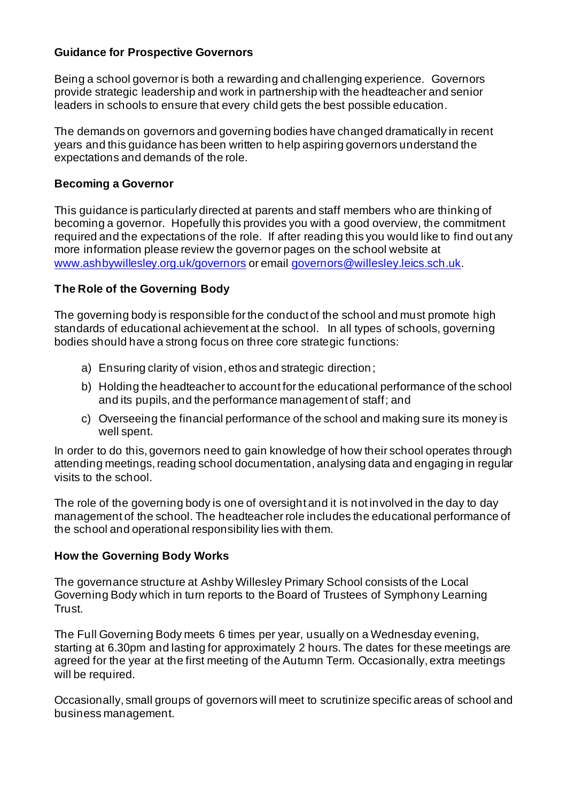## **Guidance for Prospective Governors**

Being a school governor is both a rewarding and challenging experience. Governors provide strategic leadership and work in partnership with the headteacher and senior leaders in schools to ensure that every child gets the best possible education.

The demands on governors and governing bodies have changed dramatically in recent years and this guidance has been written to help aspiring governors understand the expectations and demands of the role.

## **Becoming a Governor**

This guidance is particularly directed at parents and staff members who are thinking of becoming a governor. Hopefully this provides you with a good overview, the commitment required and the expectations of the role. If after reading this you would like to find out any more information please review the governor pages on the school website at www.ashbywillesley.org.uk/governors or email governors@willesley.leics.sch.uk.

# **The Role of the Governing Body**

The governing body is responsible for the conduct of the school and must promote high standards of educational achievement at the school. In all types of schools, governing bodies should have a strong focus on three core strategic functions:

- a) Ensuring clarity of vision, ethos and strategic direction;
- b) Holding the headteacher to account for the educational performance of the school and its pupils, and the performance management of staff; and
- c) Overseeing the financial performance of the school and making sure its money is well spent.

In order to do this, governors need to gain knowledge of how their school operates through attending meetings, reading school documentation, analysing data and engaging in regular visits to the school.

The role of the governing body is one of oversight and it is not involved in the day to day management of the school. The headteacher role includes the educational performance of the school and operational responsibility lies with them.

### **How the Governing Body Works**

The governance structure at Ashby Willesley Primary School consists of the Local Governing Body which in turn reports to the Board of Trustees of Symphony Learning Trust.

The Full Governing Body meets 6 times per year, usually on a Wednesday evening, starting at 6.30pm and lasting for approximately 2 hours. The dates for these meetings are agreed for the year at the first meeting of the Autumn Term. Occasionally, extra meetings will be required.

Occasionally, small groups of governors will meet to scrutinize specific areas of school and business management.